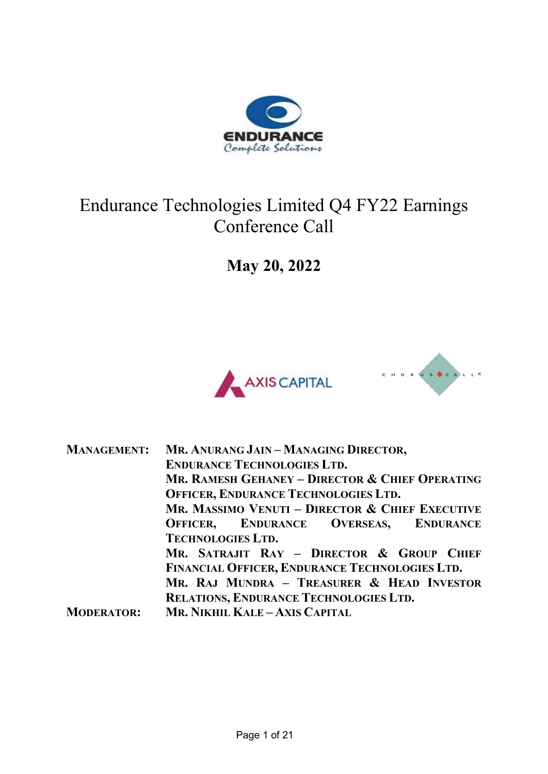

## Endurance Technologies Limited Q4 FY22 Earnings Conference Call

**May 20, 2022**





| <b>MANAGEMENT:</b> | MR. ANURANG JAIN - MANAGING DIRECTOR,           |
|--------------------|-------------------------------------------------|
|                    | <b>ENDURANCE TECHNOLOGIES LTD.</b>              |
|                    | MR. RAMESH GEHANEY - DIRECTOR & CHIEF OPERATING |
|                    | <b>OFFICER, ENDURANCE TECHNOLOGIES LTD.</b>     |
|                    | MR. MASSIMO VENUTI - DIRECTOR & CHIEF EXECUTIVE |
|                    | <b>OFFICER, ENDURANCE OVERSEAS, ENDURANCE</b>   |
|                    | <b>TECHNOLOGIES LTD.</b>                        |
|                    | MR. SATRAJIT RAY - DIRECTOR & GROUP CHIEF       |
|                    | FINANCIAL OFFICER, ENDURANCE TECHNOLOGIES LTD.  |
|                    | MR. RAJ MUNDRA - TREASURER & HEAD INVESTOR      |
|                    | <b>RELATIONS, ENDURANCE TECHNOLOGIES LTD.</b>   |
| <b>MODERATOR:</b>  | MR. NIKHIL KALE - AXIS CAPITAL                  |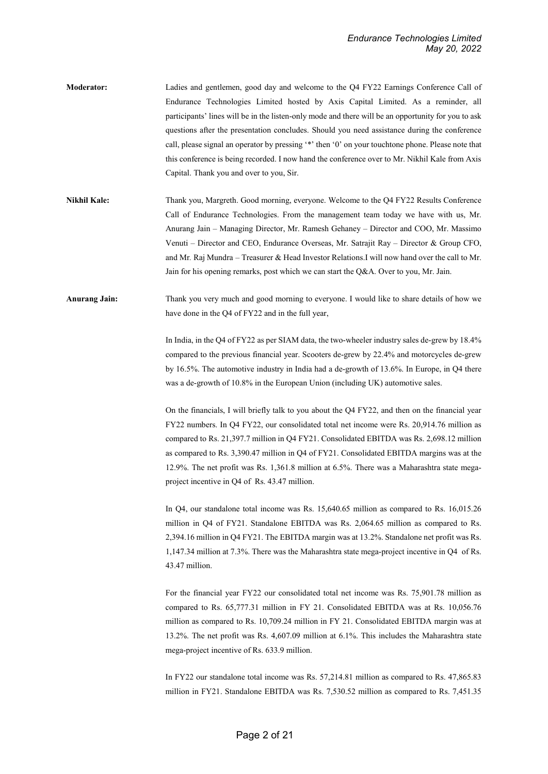- **Moderator:** Ladies and gentlemen, good day and welcome to the Q4 FY22 Earnings Conference Call of Endurance Technologies Limited hosted by Axis Capital Limited. As a reminder, all participants' lines will be in the listen-only mode and there will be an opportunity for you to ask questions after the presentation concludes. Should you need assistance during the conference call, please signal an operator by pressing '\*' then '0' on your touchtone phone. Please note that this conference is being recorded. I now hand the conference over to Mr. Nikhil Kale from Axis Capital. Thank you and over to you, Sir.
- **Nikhil Kale:** Thank you, Margreth. Good morning, everyone. Welcome to the Q4 FY22 Results Conference Call of Endurance Technologies. From the management team today we have with us, Mr. Anurang Jain – Managing Director, Mr. Ramesh Gehaney – Director and COO, Mr. Massimo Venuti – Director and CEO, Endurance Overseas, Mr. Satrajit Ray – Director & Group CFO, and Mr*.* Raj Mundra – Treasurer & Head Investor Relations.I will now hand over the call to Mr. Jain for his opening remarks, post which we can start the Q&A. Over to you, Mr. Jain.
- **Anurang Jain:** Thank you very much and good morning to everyone. I would like to share details of how we have done in the Q4 of FY22 and in the full year,

In India, in the Q4 of FY22 as per SIAM data, the two-wheeler industry sales de-grew by 18.4% compared to the previous financial year. Scooters de-grew by 22.4% and motorcycles de-grew by 16.5%. The automotive industry in India had a de-growth of 13.6%. In Europe, in Q4 there was a de-growth of 10.8% in the European Union (including UK) automotive sales.

On the financials, I will briefly talk to you about the Q4 FY22, and then on the financial year FY22 numbers. In Q4 FY22, our consolidated total net income were Rs. 20,914.76 million as compared to Rs. 21,397.7 million in Q4 FY21. Consolidated EBITDA was Rs. 2,698.12 million as compared to Rs. 3,390.47 million in Q4 of FY21. Consolidated EBITDA margins was at the 12.9%. The net profit was Rs. 1,361.8 million at 6.5%. There was a Maharashtra state megaproject incentive in Q4 of Rs. 43.47 million.

In Q4, our standalone total income was Rs. 15,640.65 million as compared to Rs. 16,015.26 million in Q4 of FY21. Standalone EBITDA was Rs. 2,064.65 million as compared to Rs. 2,394.16 million in Q4 FY21. The EBITDA margin was at 13.2%. Standalone net profit was Rs. 1,147.34 million at 7.3%. There was the Maharashtra state mega-project incentive in Q4 of Rs. 43.47 million.

For the financial year FY22 our consolidated total net income was Rs. 75,901.78 million as compared to Rs. 65,777.31 million in FY 21. Consolidated EBITDA was at Rs. 10,056.76 million as compared to Rs. 10,709.24 million in FY 21. Consolidated EBITDA margin was at 13.2%. The net profit was Rs. 4,607.09 million at 6.1%. This includes the Maharashtra state mega-project incentive of Rs. 633.9 million.

In FY22 our standalone total income was Rs. 57,214.81 million as compared to Rs. 47,865.83 million in FY21. Standalone EBITDA was Rs. 7,530.52 million as compared to Rs. 7,451.35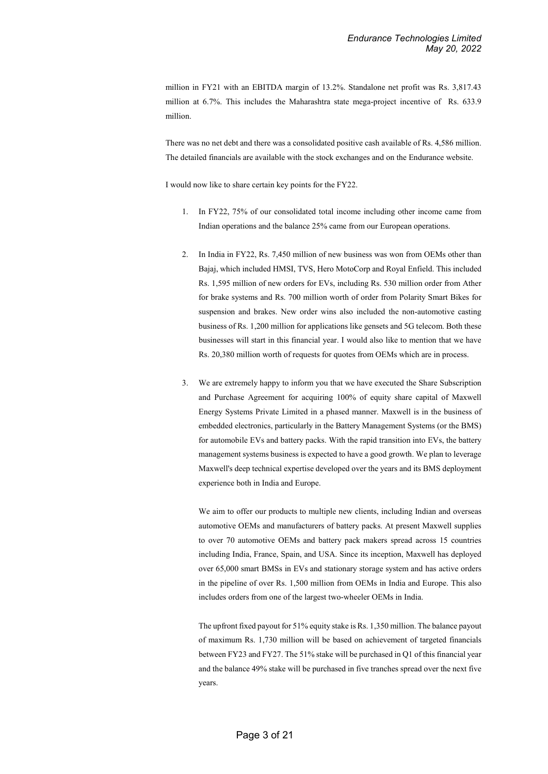million in FY21 with an EBITDA margin of 13.2%. Standalone net profit was Rs. 3,817.43 million at 6.7%. This includes the Maharashtra state mega-project incentive of Rs. 633.9 million.

There was no net debt and there was a consolidated positive cash available of Rs. 4,586 million. The detailed financials are available with the stock exchanges and on the Endurance website.

I would now like to share certain key points for the FY22.

- 1. In FY22, 75% of our consolidated total income including other income came from Indian operations and the balance 25% came from our European operations.
- 2. In India in FY22, Rs. 7,450 million of new business was won from OEMs other than Bajaj, which included HMSI, TVS, Hero MotoCorp and Royal Enfield. This included Rs. 1,595 million of new orders for EVs, including Rs. 530 million order from Ather for brake systems and Rs. 700 million worth of order from Polarity Smart Bikes for suspension and brakes. New order wins also included the non-automotive casting business of Rs. 1,200 million for applications like gensets and 5G telecom. Both these businesses will start in this financial year. I would also like to mention that we have Rs. 20,380 million worth of requests for quotes from OEMs which are in process.
- 3. We are extremely happy to inform you that we have executed the Share Subscription and Purchase Agreement for acquiring 100% of equity share capital of Maxwell Energy Systems Private Limited in a phased manner. Maxwell is in the business of embedded electronics, particularly in the Battery Management Systems (or the BMS) for automobile EVs and battery packs. With the rapid transition into EVs, the battery management systems business is expected to have a good growth. We plan to leverage Maxwell's deep technical expertise developed over the years and its BMS deployment experience both in India and Europe.

We aim to offer our products to multiple new clients, including Indian and overseas automotive OEMs and manufacturers of battery packs. At present Maxwell supplies to over 70 automotive OEMs and battery pack makers spread across 15 countries including India, France, Spain, and USA. Since its inception, Maxwell has deployed over 65,000 smart BMSs in EVs and stationary storage system and has active orders in the pipeline of over Rs. 1,500 million from OEMs in India and Europe. This also includes orders from one of the largest two-wheeler OEMs in India.

The upfront fixed payout for 51% equity stake is Rs. 1,350 million. The balance payout of maximum Rs. 1,730 million will be based on achievement of targeted financials between FY23 and FY27. The 51% stake will be purchased in Q1 of this financial year and the balance 49% stake will be purchased in five tranches spread over the next five years.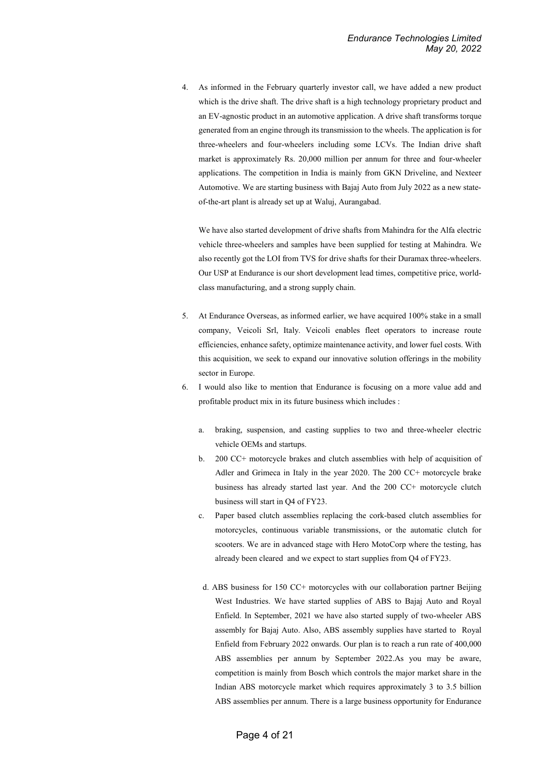4. As informed in the February quarterly investor call, we have added a new product which is the drive shaft. The drive shaft is a high technology proprietary product and an EV-agnostic product in an automotive application. A drive shaft transforms torque generated from an engine through its transmission to the wheels. The application is for three-wheelers and four-wheelers including some LCVs. The Indian drive shaft market is approximately Rs. 20,000 million per annum for three and four-wheeler applications. The competition in India is mainly from GKN Driveline, and Nexteer Automotive. We are starting business with Bajaj Auto from July 2022 as a new stateof-the-art plant is already set up at Waluj, Aurangabad.

We have also started development of drive shafts from Mahindra for the Alfa electric vehicle three-wheelers and samples have been supplied for testing at Mahindra. We also recently got the LOI from TVS for drive shafts for their Duramax three-wheelers. Our USP at Endurance is our short development lead times, competitive price, worldclass manufacturing, and a strong supply chain.

- 5. At Endurance Overseas, as informed earlier, we have acquired 100% stake in a small company, Veicoli Srl, Italy. Veicoli enables fleet operators to increase route efficiencies, enhance safety, optimize maintenance activity, and lower fuel costs. With this acquisition, we seek to expand our innovative solution offerings in the mobility sector in Europe.
- 6. I would also like to mention that Endurance is focusing on a more value add and profitable product mix in its future business which includes :
	- a. braking, suspension, and casting supplies to two and three-wheeler electric vehicle OEMs and startups.
	- b. 200 CC+ motorcycle brakes and clutch assemblies with help of acquisition of Adler and Grimeca in Italy in the year 2020. The 200 CC+ motorcycle brake business has already started last year. And the 200 CC+ motorcycle clutch business will start in Q4 of FY23.
	- c. Paper based clutch assemblies replacing the cork-based clutch assemblies for motorcycles, continuous variable transmissions, or the automatic clutch for scooters. We are in advanced stage with Hero MotoCorp where the testing, has already been cleared and we expect to start supplies from Q4 of FY23.
	- d. ABS business for 150 CC+ motorcycles with our collaboration partner Beijing West Industries. We have started supplies of ABS to Bajaj Auto and Royal Enfield. In September, 2021 we have also started supply of two-wheeler ABS assembly for Bajaj Auto. Also, ABS assembly supplies have started to Royal Enfield from February 2022 onwards. Our plan is to reach a run rate of 400,000 ABS assemblies per annum by September 2022.As you may be aware, competition is mainly from Bosch which controls the major market share in the Indian ABS motorcycle market which requires approximately 3 to 3.5 billion ABS assemblies per annum. There is a large business opportunity for Endurance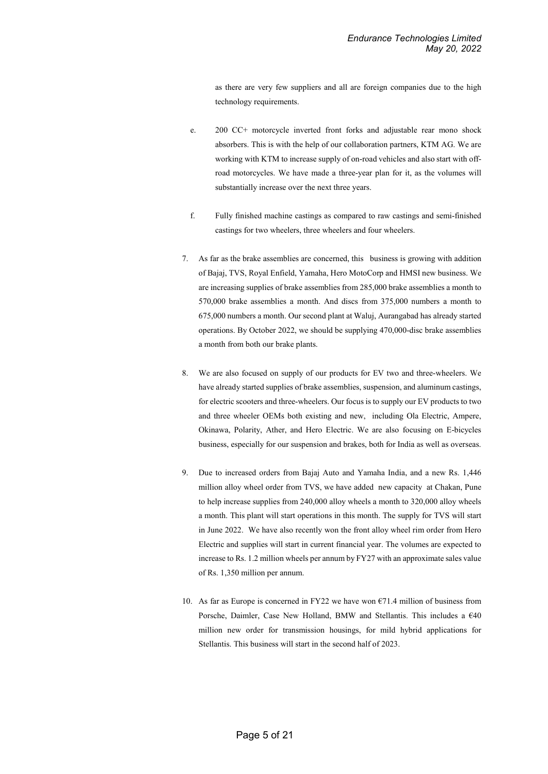as there are very few suppliers and all are foreign companies due to the high technology requirements.

- e. 200 CC+ motorcycle inverted front forks and adjustable rear mono shock absorbers. This is with the help of our collaboration partners, KTM AG. We are working with KTM to increase supply of on-road vehicles and also start with offroad motorcycles. We have made a three-year plan for it, as the volumes will substantially increase over the next three years.
- f. Fully finished machine castings as compared to raw castings and semi-finished castings for two wheelers, three wheelers and four wheelers.
- 7. As far as the brake assemblies are concerned, this business is growing with addition of Bajaj, TVS, Royal Enfield, Yamaha, Hero MotoCorp and HMSI new business. We are increasing supplies of brake assemblies from 285,000 brake assemblies a month to 570,000 brake assemblies a month. And discs from 375,000 numbers a month to 675,000 numbers a month. Our second plant at Waluj, Aurangabad has already started operations. By October 2022, we should be supplying 470,000-disc brake assemblies a month from both our brake plants.
- 8. We are also focused on supply of our products for EV two and three-wheelers. We have already started supplies of brake assemblies, suspension, and aluminum castings, for electric scooters and three-wheelers. Our focus is to supply our EV products to two and three wheeler OEMs both existing and new, including Ola Electric, Ampere, Okinawa, Polarity, Ather, and Hero Electric. We are also focusing on E-bicycles business, especially for our suspension and brakes, both for India as well as overseas.
- 9. Due to increased orders from Bajaj Auto and Yamaha India, and a new Rs. 1,446 million alloy wheel order from TVS, we have added new capacity at Chakan, Pune to help increase supplies from 240,000 alloy wheels a month to 320,000 alloy wheels a month. This plant will start operations in this month. The supply for TVS will start in June 2022. We have also recently won the front alloy wheel rim order from Hero Electric and supplies will start in current financial year. The volumes are expected to increase to Rs. 1.2 million wheels per annum by FY27 with an approximate sales value of Rs. 1,350 million per annum.
- 10. As far as Europe is concerned in FY22 we have won  $\epsilon$ 71.4 million of business from Porsche, Daimler, Case New Holland, BMW and Stellantis. This includes a €40 million new order for transmission housings, for mild hybrid applications for Stellantis. This business will start in the second half of 2023.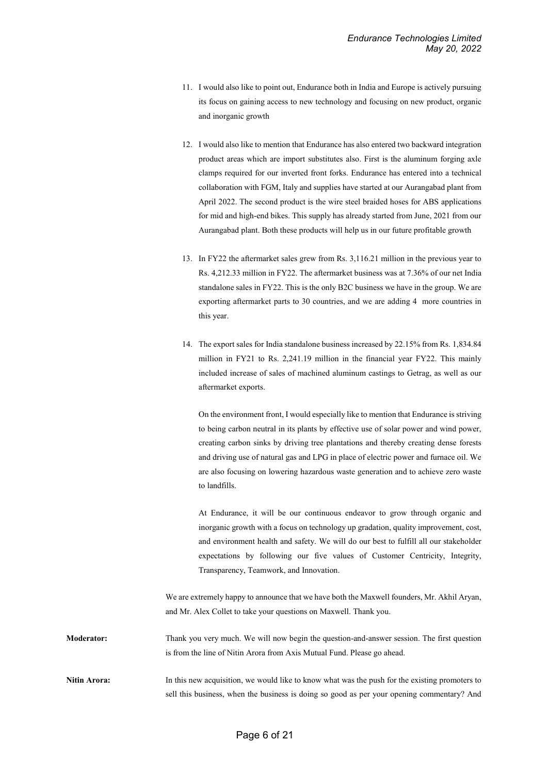- 11. I would also like to point out, Endurance both in India and Europe is actively pursuing its focus on gaining access to new technology and focusing on new product, organic and inorganic growth
- 12. I would also like to mention that Endurance has also entered two backward integration product areas which are import substitutes also. First is the aluminum forging axle clamps required for our inverted front forks. Endurance has entered into a technical collaboration with FGM, Italy and supplies have started at our Aurangabad plant from April 2022. The second product is the wire steel braided hoses for ABS applications for mid and high-end bikes. This supply has already started from June, 2021 from our Aurangabad plant. Both these products will help us in our future profitable growth
- 13. In FY22 the aftermarket sales grew from Rs. 3,116.21 million in the previous year to Rs. 4,212.33 million in FY22. The aftermarket business was at 7.36% of our net India standalone sales in FY22. This is the only B2C business we have in the group. We are exporting aftermarket parts to 30 countries, and we are adding 4 more countries in this year.
- 14. The export sales for India standalone business increased by 22.15% from Rs. 1,834.84 million in FY21 to Rs. 2,241.19 million in the financial year FY22. This mainly included increase of sales of machined aluminum castings to Getrag, as well as our aftermarket exports.

On the environment front, I would especially like to mention that Endurance is striving to being carbon neutral in its plants by effective use of solar power and wind power, creating carbon sinks by driving tree plantations and thereby creating dense forests and driving use of natural gas and LPG in place of electric power and furnace oil. We are also focusing on lowering hazardous waste generation and to achieve zero waste to landfills.

At Endurance, it will be our continuous endeavor to grow through organic and inorganic growth with a focus on technology up gradation, quality improvement, cost, and environment health and safety. We will do our best to fulfill all our stakeholder expectations by following our five values of Customer Centricity, Integrity, Transparency, Teamwork, and Innovation.

We are extremely happy to announce that we have both the Maxwell founders, Mr. Akhil Aryan, and Mr. Alex Collet to take your questions on Maxwell. Thank you.

**Moderator:** Thank you very much. We will now begin the question-and-answer session. The first question is from the line of Nitin Arora from Axis Mutual Fund. Please go ahead.

**Nitin Arora:** In this new acquisition, we would like to know what was the push for the existing promoters to sell this business, when the business is doing so good as per your opening commentary? And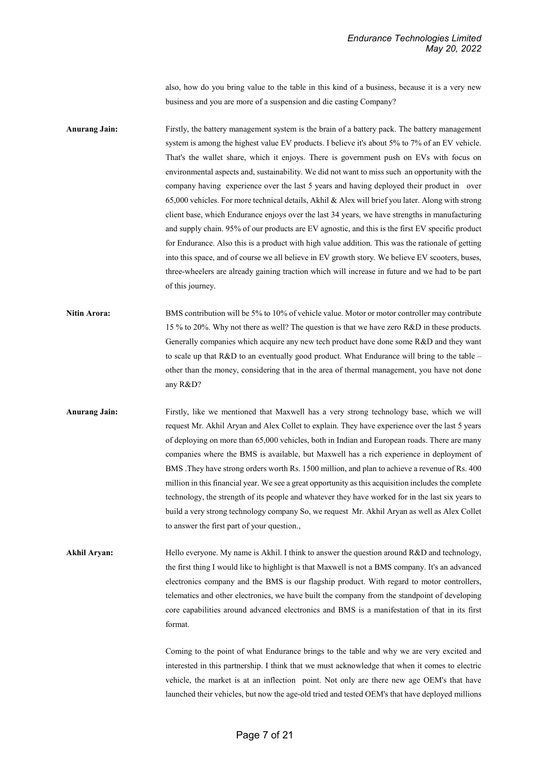also, how do you bring value to the table in this kind of a business, because it is a very new business and you are more of a suspension and die casting Company?

**Anurang Jain:** Firstly, the battery management system is the brain of a battery pack. The battery management system is among the highest value EV products. I believe it's about 5% to 7% of an EV vehicle. That's the wallet share, which it enjoys. There is government push on EVs with focus on environmental aspects and, sustainability. We did not want to miss such an opportunity with the company having experience over the last 5 years and having deployed their product in over 65,000 vehicles. For more technical details, Akhil & Alex will brief you later. Along with strong client base, which Endurance enjoys over the last 34 years, we have strengths in manufacturing and supply chain. 95% of our products are EV agnostic, and this is the first EV specific product for Endurance. Also this is a product with high value addition. This was the rationale of getting into this space, and of course we all believe in EV growth story. We believe EV scooters, buses, three-wheelers are already gaining traction which will increase in future and we had to be part of this journey.

- **Nitin Arora:** BMS contribution will be 5% to 10% of vehicle value. Motor or motor controller may contribute 15 % to 20%. Why not there as well? The question is that we have zero R&D in these products. Generally companies which acquire any new tech product have done some R&D and they want to scale up that R&D to an eventually good product. What Endurance will bring to the table – other than the money, considering that in the area of thermal management, you have not done any R&D?
- **Anurang Jain:** Firstly, like we mentioned that Maxwell has a very strong technology base, which we will request Mr. Akhil Aryan and Alex Collet to explain. They have experience over the last 5 years of deploying on more than 65,000 vehicles, both in Indian and European roads. There are many companies where the BMS is available, but Maxwell has a rich experience in deployment of BMS .They have strong orders worth Rs. 1500 million, and plan to achieve a revenue of Rs. 400 million in this financial year. We see a great opportunity as this acquisition includes the complete technology, the strength of its people and whatever they have worked for in the last six years to build a very strong technology company So, we request Mr. Akhil Aryan as well as Alex Collet to answer the first part of your question.,
- **Akhil Aryan:** Hello everyone. My name is Akhil. I think to answer the question around R&D and technology, the first thing I would like to highlight is that Maxwell is not a BMS company. It's an advanced electronics company and the BMS is our flagship product. With regard to motor controllers, telematics and other electronics, we have built the company from the standpoint of developing core capabilities around advanced electronics and BMS is a manifestation of that in its first format.

Coming to the point of what Endurance brings to the table and why we are very excited and interested in this partnership. I think that we must acknowledge that when it comes to electric vehicle, the market is at an inflection point. Not only are there new age OEM's that have launched their vehicles, but now the age-old tried and tested OEM's that have deployed millions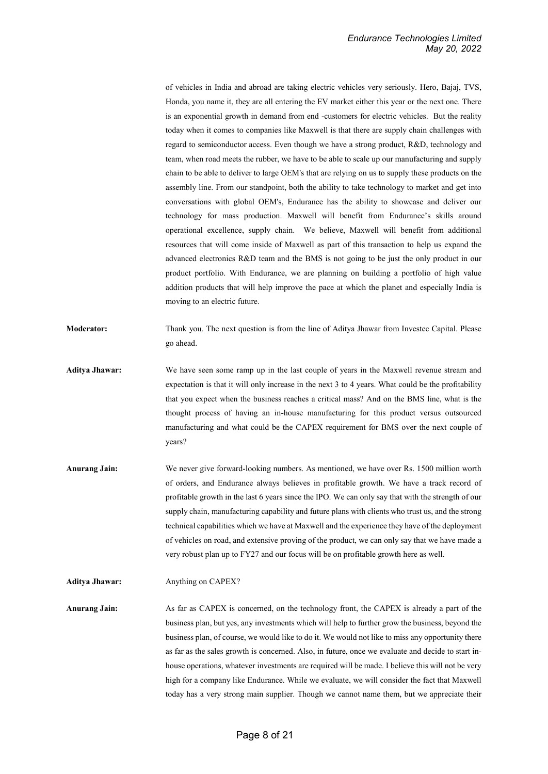of vehicles in India and abroad are taking electric vehicles very seriously. Hero, Bajaj, TVS, Honda, you name it, they are all entering the EV market either this year or the next one. There is an exponential growth in demand from end -customers for electric vehicles. But the reality today when it comes to companies like Maxwell is that there are supply chain challenges with regard to semiconductor access. Even though we have a strong product, R&D, technology and team, when road meets the rubber, we have to be able to scale up our manufacturing and supply chain to be able to deliver to large OEM's that are relying on us to supply these products on the assembly line. From our standpoint, both the ability to take technology to market and get into conversations with global OEM's, Endurance has the ability to showcase and deliver our technology for mass production. Maxwell will benefit from Endurance's skills around operational excellence, supply chain. We believe, Maxwell will benefit from additional resources that will come inside of Maxwell as part of this transaction to help us expand the advanced electronics R&D team and the BMS is not going to be just the only product in our product portfolio. With Endurance, we are planning on building a portfolio of high value addition products that will help improve the pace at which the planet and especially India is moving to an electric future.

- **Moderator:** Thank you. The next question is from the line of Aditya Jhawar from Investec Capital. Please go ahead.
- **Aditya Jhawar:** We have seen some ramp up in the last couple of years in the Maxwell revenue stream and expectation is that it will only increase in the next 3 to 4 years. What could be the profitability that you expect when the business reaches a critical mass? And on the BMS line, what is the thought process of having an in-house manufacturing for this product versus outsourced manufacturing and what could be the CAPEX requirement for BMS over the next couple of years?
- **Anurang Jain:** We never give forward-looking numbers. As mentioned, we have over Rs. 1500 million worth of orders, and Endurance always believes in profitable growth. We have a track record of profitable growth in the last 6 years since the IPO. We can only say that with the strength of our supply chain, manufacturing capability and future plans with clients who trust us, and the strong technical capabilities which we have at Maxwell and the experience they have of the deployment of vehicles on road, and extensive proving of the product, we can only say that we have made a very robust plan up to FY27 and our focus will be on profitable growth here as well.

**Anurang Jain:** As far as CAPEX is concerned, on the technology front, the CAPEX is already a part of the business plan, but yes, any investments which will help to further grow the business, beyond the business plan, of course, we would like to do it. We would not like to miss any opportunity there as far as the sales growth is concerned. Also, in future, once we evaluate and decide to start inhouse operations, whatever investments are required will be made. I believe this will not be very high for a company like Endurance. While we evaluate, we will consider the fact that Maxwell today has a very strong main supplier. Though we cannot name them, but we appreciate their

**Aditya Jhawar:** Anything on CAPEX?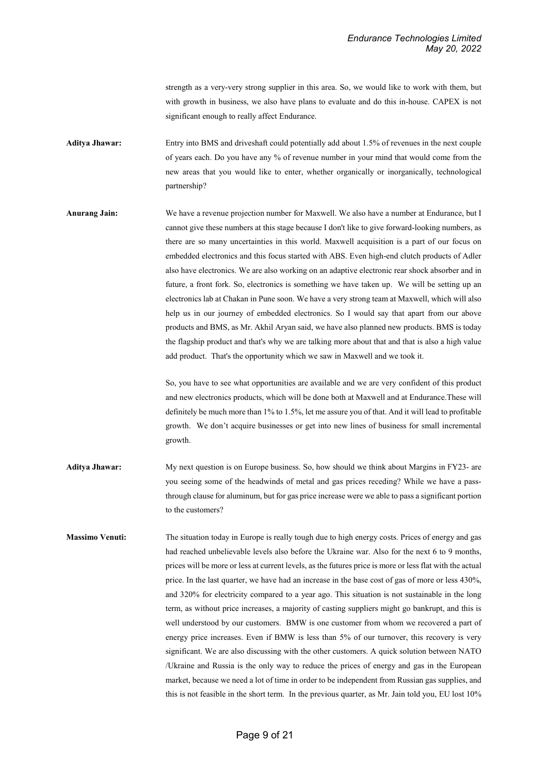strength as a very-very strong supplier in this area. So, we would like to work with them, but with growth in business, we also have plans to evaluate and do this in-house. CAPEX is not significant enough to really affect Endurance.

**Aditya Jhawar:** Entry into BMS and driveshaft could potentially add about 1.5% of revenues in the next couple of years each. Do you have any % of revenue number in your mind that would come from the new areas that you would like to enter, whether organically or inorganically, technological partnership?

**Anurang Jain:** We have a revenue projection number for Maxwell. We also have a number at Endurance, but I cannot give these numbers at this stage because I don't like to give forward-looking numbers, as there are so many uncertainties in this world. Maxwell acquisition is a part of our focus on embedded electronics and this focus started with ABS. Even high-end clutch products of Adler also have electronics. We are also working on an adaptive electronic rear shock absorber and in future, a front fork. So, electronics is something we have taken up. We will be setting up an electronics lab at Chakan in Pune soon. We have a very strong team at Maxwell, which will also help us in our journey of embedded electronics. So I would say that apart from our above products and BMS, as Mr. Akhil Aryan said, we have also planned new products. BMS is today the flagship product and that's why we are talking more about that and that is also a high value add product. That's the opportunity which we saw in Maxwell and we took it.

> So, you have to see what opportunities are available and we are very confident of this product and new electronics products, which will be done both at Maxwell and at Endurance.These will definitely be much more than 1% to 1.5%, let me assure you of that. And it will lead to profitable growth. We don't acquire businesses or get into new lines of business for small incremental growth.

- **Aditya Jhawar:** My next question is on Europe business. So, how should we think about Margins in FY23- are you seeing some of the headwinds of metal and gas prices receding? While we have a passthrough clause for aluminum, but for gas price increase were we able to pass a significant portion to the customers?
- **Massimo Venuti:** The situation today in Europe is really tough due to high energy costs. Prices of energy and gas had reached unbelievable levels also before the Ukraine war. Also for the next 6 to 9 months, prices will be more or less at current levels, as the futures price is more or less flat with the actual price. In the last quarter, we have had an increase in the base cost of gas of more or less 430%, and 320% for electricity compared to a year ago. This situation is not sustainable in the long term, as without price increases, a majority of casting suppliers might go bankrupt, and this is well understood by our customers. BMW is one customer from whom we recovered a part of energy price increases. Even if BMW is less than 5% of our turnover, this recovery is very significant. We are also discussing with the other customers. A quick solution between NATO /Ukraine and Russia is the only way to reduce the prices of energy and gas in the European market, because we need a lot of time in order to be independent from Russian gas supplies, and this is not feasible in the short term. In the previous quarter, as Mr. Jain told you, EU lost 10%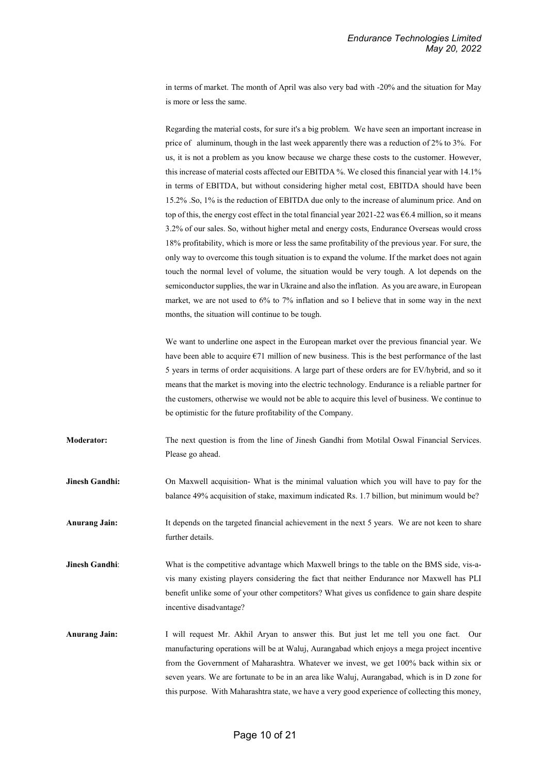in terms of market. The month of April was also very bad with -20% and the situation for May is more or less the same.

Regarding the material costs, for sure it's a big problem. We have seen an important increase in price of aluminum, though in the last week apparently there was a reduction of 2% to 3%. For us, it is not a problem as you know because we charge these costs to the customer. However, this increase of material costs affected our EBITDA %. We closed this financial year with 14.1% in terms of EBITDA, but without considering higher metal cost, EBITDA should have been 15.2% .So, 1% is the reduction of EBITDA due only to the increase of aluminum price. And on top of this, the energy cost effect in the total financial year 2021-22 was  $\epsilon$ 6.4 million, so it means 3.2% of our sales. So, without higher metal and energy costs, Endurance Overseas would cross 18% profitability, which is more or less the same profitability of the previous year. For sure, the only way to overcome this tough situation is to expand the volume. If the market does not again touch the normal level of volume, the situation would be very tough. A lot depends on the semiconductor supplies, the war in Ukraine and also the inflation. As you are aware, in European market, we are not used to 6% to 7% inflation and so I believe that in some way in the next months, the situation will continue to be tough.

We want to underline one aspect in the European market over the previous financial year. We have been able to acquire  $\epsilon$ 71 million of new business. This is the best performance of the last 5 years in terms of order acquisitions. A large part of these orders are for EV/hybrid, and so it means that the market is moving into the electric technology. Endurance is a reliable partner for the customers, otherwise we would not be able to acquire this level of business. We continue to be optimistic for the future profitability of the Company.

**Moderator:** The next question is from the line of Jinesh Gandhi from Motilal Oswal Financial Services. Please go ahead.

**Jinesh Gandhi:** On Maxwell acquisition- What is the minimal valuation which you will have to pay for the balance 49% acquisition of stake, maximum indicated Rs. 1.7 billion, but minimum would be?

Anurang Jain: It depends on the targeted financial achievement in the next 5 years. We are not keen to share further details.

**Jinesh Gandhi:** What is the competitive advantage which Maxwell brings to the table on the BMS side, vis-avis many existing players considering the fact that neither Endurance nor Maxwell has PLI benefit unlike some of your other competitors? What gives us confidence to gain share despite incentive disadvantage?

**Anurang Jain:** I will request Mr. Akhil Aryan to answer this. But just let me tell you one fact. Our manufacturing operations will be at Waluj, Aurangabad which enjoys a mega project incentive from the Government of Maharashtra. Whatever we invest, we get 100% back within six or seven years. We are fortunate to be in an area like Waluj, Aurangabad, which is in D zone for this purpose. With Maharashtra state, we have a very good experience of collecting this money,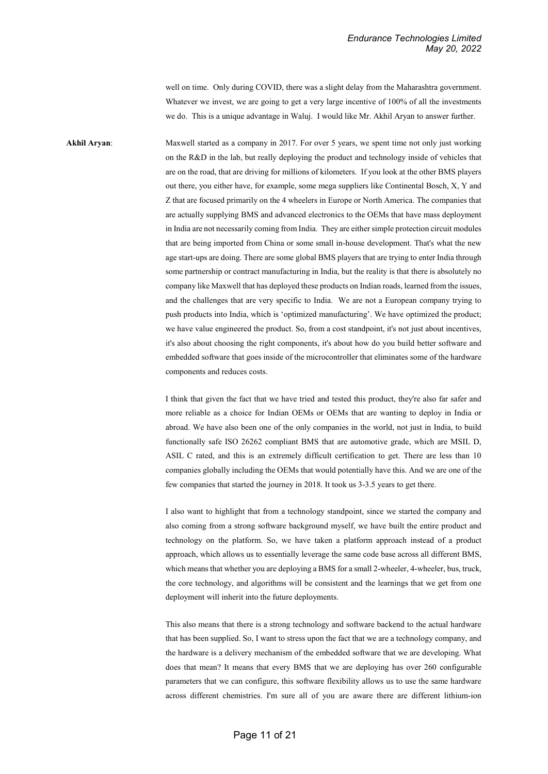well on time. Only during COVID, there was a slight delay from the Maharashtra government. Whatever we invest, we are going to get a very large incentive of 100% of all the investments we do. This is a unique advantage in Waluj. I would like Mr. Akhil Aryan to answer further.

**Akhil Aryan:** Maxwell started as a company in 2017. For over 5 years, we spent time not only just working on the R&D in the lab, but really deploying the product and technology inside of vehicles that are on the road, that are driving for millions of kilometers. If you look at the other BMS players out there, you either have, for example, some mega suppliers like Continental Bosch, X, Y and Z that are focused primarily on the 4 wheelers in Europe or North America. The companies that are actually supplying BMS and advanced electronics to the OEMs that have mass deployment in India are not necessarily coming from India. They are either simple protection circuit modules that are being imported from China or some small in-house development. That's what the new age start-ups are doing. There are some global BMS players that are trying to enter India through some partnership or contract manufacturing in India, but the reality is that there is absolutely no company like Maxwell that has deployed these products on Indian roads, learned from the issues, and the challenges that are very specific to India. We are not a European company trying to push products into India, which is 'optimized manufacturing'. We have optimized the product; we have value engineered the product. So, from a cost standpoint, it's not just about incentives, it's also about choosing the right components, it's about how do you build better software and embedded software that goes inside of the microcontroller that eliminates some of the hardware components and reduces costs.

> I think that given the fact that we have tried and tested this product, they're also far safer and more reliable as a choice for Indian OEMs or OEMs that are wanting to deploy in India or abroad. We have also been one of the only companies in the world, not just in India, to build functionally safe ISO 26262 compliant BMS that are automotive grade, which are MSIL D, ASIL C rated, and this is an extremely difficult certification to get. There are less than 10 companies globally including the OEMs that would potentially have this. And we are one of the few companies that started the journey in 2018. It took us 3-3.5 years to get there.

> I also want to highlight that from a technology standpoint, since we started the company and also coming from a strong software background myself, we have built the entire product and technology on the platform. So, we have taken a platform approach instead of a product approach, which allows us to essentially leverage the same code base across all different BMS, which means that whether you are deploying a BMS for a small 2-wheeler, 4-wheeler, bus, truck, the core technology, and algorithms will be consistent and the learnings that we get from one deployment will inherit into the future deployments.

> This also means that there is a strong technology and software backend to the actual hardware that has been supplied. So, I want to stress upon the fact that we are a technology company, and the hardware is a delivery mechanism of the embedded software that we are developing. What does that mean? It means that every BMS that we are deploying has over 260 configurable parameters that we can configure, this software flexibility allows us to use the same hardware across different chemistries. I'm sure all of you are aware there are different lithium-ion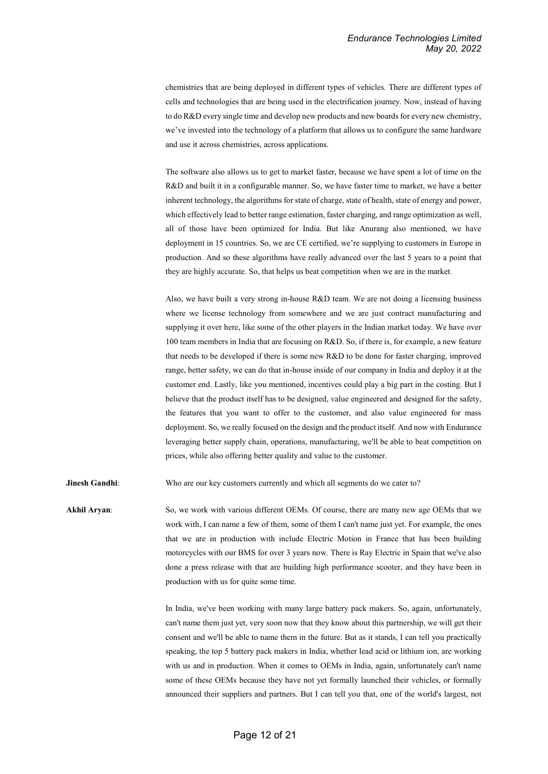chemistries that are being deployed in different types of vehicles. There are different types of cells and technologies that are being used in the electrification journey. Now, instead of having to do R&D every single time and develop new products and new boards for every new chemistry, we've invested into the technology of a platform that allows us to configure the same hardware and use it across chemistries, across applications.

The software also allows us to get to market faster, because we have spent a lot of time on the R&D and built it in a configurable manner. So, we have faster time to market, we have a better inherent technology, the algorithms for state of charge, state of health, state of energy and power, which effectively lead to better range estimation, faster charging, and range optimization as well, all of those have been optimized for India. But like Anurang also mentioned, we have deployment in 15 countries. So, we are CE certified, we're supplying to customers in Europe in production. And so these algorithms have really advanced over the last 5 years to a point that they are highly accurate. So, that helps us beat competition when we are in the market.

Also, we have built a very strong in-house R&D team. We are not doing a licensing business where we license technology from somewhere and we are just contract manufacturing and supplying it over here, like some of the other players in the Indian market today. We have over 100 team members in India that are focusing on R&D. So, if there is, for example, a new feature that needs to be developed if there is some new R&D to be done for faster charging, improved range, better safety, we can do that in-house inside of our company in India and deploy it at the customer end. Lastly, like you mentioned, incentives could play a big part in the costing. But I believe that the product itself has to be designed, value engineered and designed for the safety, the features that you want to offer to the customer, and also value engineered for mass deployment. So, we really focused on the design and the product itself. And now with Endurance leveraging better supply chain, operations, manufacturing, we'll be able to beat competition on prices, while also offering better quality and value to the customer.

**Jinesh Gandhi:** Who are our key customers currently and which all segments do we cater to?

**Akhil Aryan**: So, we work with various different OEMs. Of course, there are many new age OEMs that we work with, I can name a few of them, some of them I can't name just yet. For example, the ones that we are in production with include Electric Motion in France that has been building motorcycles with our BMS for over 3 years now. There is Ray Electric in Spain that we've also done a press release with that are building high performance scooter, and they have been in production with us for quite some time.

> In India, we've been working with many large battery pack makers. So, again, unfortunately, can't name them just yet, very soon now that they know about this partnership, we will get their consent and we'll be able to name them in the future. But as it stands, I can tell you practically speaking, the top 5 battery pack makers in India, whether lead acid or lithium ion, are working with us and in production. When it comes to OEMs in India, again, unfortunately can't name some of these OEMs because they have not yet formally launched their vehicles, or formally announced their suppliers and partners. But I can tell you that, one of the world's largest, not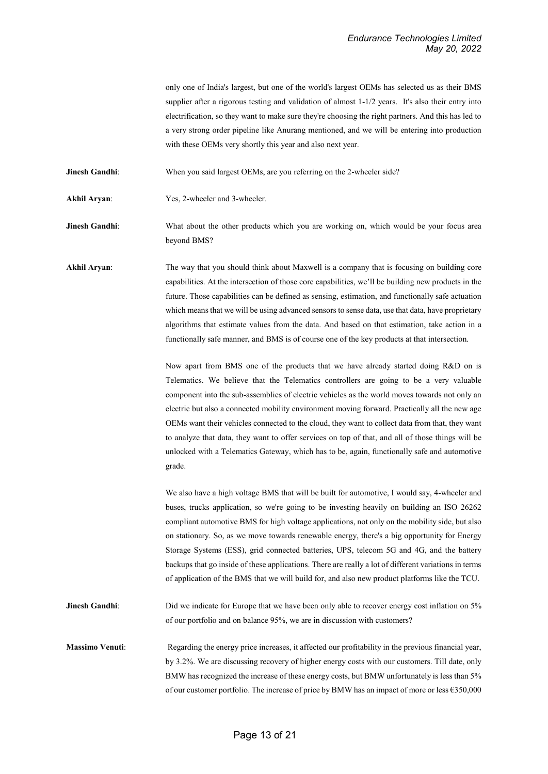only one of India's largest, but one of the world's largest OEMs has selected us as their BMS supplier after a rigorous testing and validation of almost 1-1/2 years. It's also their entry into electrification, so they want to make sure they're choosing the right partners. And this has led to a very strong order pipeline like Anurang mentioned, and we will be entering into production with these OEMs very shortly this year and also next year.

**Jinesh Gandhi:** When you said largest OEMs, are you referring on the 2-wheeler side?

Akhil Aryan: Yes, 2-wheeler and 3-wheeler.

**Jinesh Gandhi:** What about the other products which you are working on, which would be your focus area beyond BMS?

**Akhil Aryan**: The way that you should think about Maxwell is a company that is focusing on building core capabilities. At the intersection of those core capabilities, we'll be building new products in the future. Those capabilities can be defined as sensing, estimation, and functionally safe actuation which means that we will be using advanced sensors to sense data, use that data, have proprietary algorithms that estimate values from the data. And based on that estimation, take action in a functionally safe manner, and BMS is of course one of the key products at that intersection.

> Now apart from BMS one of the products that we have already started doing R&D on is Telematics. We believe that the Telematics controllers are going to be a very valuable component into the sub-assemblies of electric vehicles as the world moves towards not only an electric but also a connected mobility environment moving forward. Practically all the new age OEMs want their vehicles connected to the cloud, they want to collect data from that, they want to analyze that data, they want to offer services on top of that, and all of those things will be unlocked with a Telematics Gateway, which has to be, again, functionally safe and automotive grade.

> We also have a high voltage BMS that will be built for automotive, I would say, 4-wheeler and buses, trucks application, so we're going to be investing heavily on building an ISO 26262 compliant automotive BMS for high voltage applications, not only on the mobility side, but also on stationary. So, as we move towards renewable energy, there's a big opportunity for Energy Storage Systems (ESS), grid connected batteries, UPS, telecom 5G and 4G, and the battery backups that go inside of these applications. There are really a lot of different variations in terms of application of the BMS that we will build for, and also new product platforms like the TCU.

**Jinesh Gandhi:** Did we indicate for Europe that we have been only able to recover energy cost inflation on 5% of our portfolio and on balance 95%, we are in discussion with customers?

**Massimo Venuti:** Regarding the energy price increases, it affected our profitability in the previous financial year, by 3.2%. We are discussing recovery of higher energy costs with our customers. Till date, only BMW has recognized the increase of these energy costs, but BMW unfortunately is less than 5% of our customer portfolio. The increase of price by BMW has an impact of more or less €350,000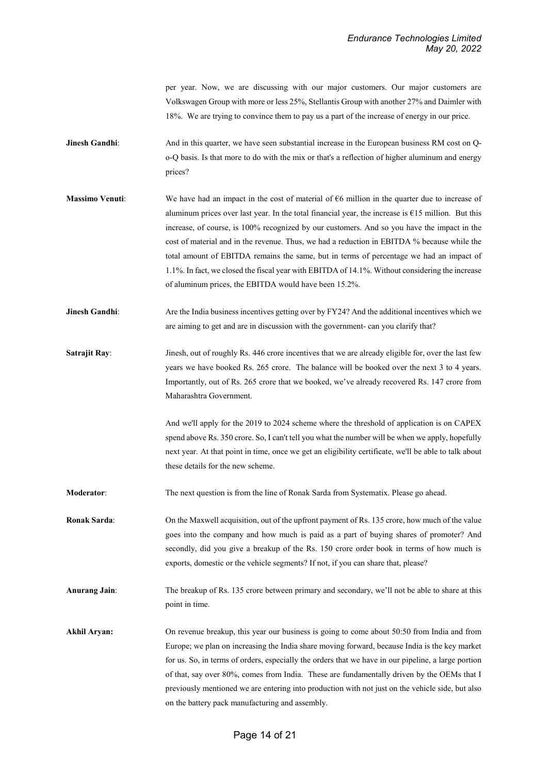per year. Now, we are discussing with our major customers. Our major customers are Volkswagen Group with more or less 25%, Stellantis Group with another 27% and Daimler with 18%. We are trying to convince them to pay us a part of the increase of energy in our price.

- **Jinesh Gandhi:** And in this quarter, we have seen substantial increase in the European business RM cost on Qo-Q basis. Is that more to do with the mix or that's a reflection of higher aluminum and energy prices?
- **Massimo Venuti:** We have had an impact in the cost of material of €6 million in the quarter due to increase of aluminum prices over last year. In the total financial year, the increase is  $E15$  million. But this increase, of course, is 100% recognized by our customers. And so you have the impact in the cost of material and in the revenue. Thus, we had a reduction in EBITDA % because while the total amount of EBITDA remains the same, but in terms of percentage we had an impact of 1.1%. In fact, we closed the fiscal year with EBITDA of 14.1%. Without considering the increase of aluminum prices, the EBITDA would have been 15.2%.
- **Jinesh Gandhi:** Are the India business incentives getting over by FY24? And the additional incentives which we are aiming to get and are in discussion with the government- can you clarify that?
- **Satrajit Ray:** Jinesh, out of roughly Rs. 446 crore incentives that we are already eligible for, over the last few years we have booked Rs. 265 crore. The balance will be booked over the next 3 to 4 years. Importantly, out of Rs. 265 crore that we booked, we've already recovered Rs. 147 crore from Maharashtra Government.

And we'll apply for the 2019 to 2024 scheme where the threshold of application is on CAPEX spend above Rs. 350 crore. So, I can't tell you what the number will be when we apply, hopefully next year. At that point in time, once we get an eligibility certificate, we'll be able to talk about these details for the new scheme.

**Moderator**: The next question is from the line of Ronak Sarda from Systematix. Please go ahead.

**Ronak Sarda:** On the Maxwell acquisition, out of the upfront payment of Rs. 135 crore, how much of the value goes into the company and how much is paid as a part of buying shares of promoter? And secondly, did you give a breakup of the Rs. 150 crore order book in terms of how much is exports, domestic or the vehicle segments? If not, if you can share that, please?

**Anurang Jain**: The breakup of Rs. 135 crore between primary and secondary, we'll not be able to share at this point in time.

Akhil Aryan: On revenue breakup, this year our business is going to come about 50:50 from India and from Europe; we plan on increasing the India share moving forward, because India is the key market for us. So, in terms of orders, especially the orders that we have in our pipeline, a large portion of that, say over 80%, comes from India. These are fundamentally driven by the OEMs that I previously mentioned we are entering into production with not just on the vehicle side, but also on the battery pack manufacturing and assembly.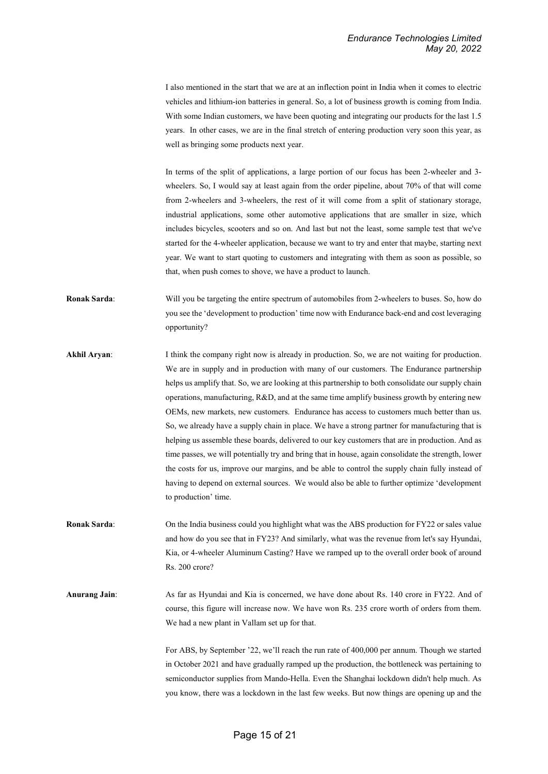I also mentioned in the start that we are at an inflection point in India when it comes to electric vehicles and lithium-ion batteries in general. So, a lot of business growth is coming from India. With some Indian customers, we have been quoting and integrating our products for the last 1.5 years. In other cases, we are in the final stretch of entering production very soon this year, as well as bringing some products next year.

In terms of the split of applications, a large portion of our focus has been 2-wheeler and 3 wheelers. So, I would say at least again from the order pipeline, about 70% of that will come from 2-wheelers and 3-wheelers, the rest of it will come from a split of stationary storage, industrial applications, some other automotive applications that are smaller in size, which includes bicycles, scooters and so on. And last but not the least, some sample test that we've started for the 4-wheeler application, because we want to try and enter that maybe, starting next year. We want to start quoting to customers and integrating with them as soon as possible, so that, when push comes to shove, we have a product to launch.

- **Ronak Sarda:** Will you be targeting the entire spectrum of automobiles from 2-wheelers to buses. So, how do you see the 'development to production' time now with Endurance back-end and cost leveraging opportunity?
- **Akhil Aryan:** I think the company right now is already in production. So, we are not waiting for production. We are in supply and in production with many of our customers. The Endurance partnership helps us amplify that. So, we are looking at this partnership to both consolidate our supply chain operations, manufacturing, R&D, and at the same time amplify business growth by entering new OEMs, new markets, new customers. Endurance has access to customers much better than us. So, we already have a supply chain in place. We have a strong partner for manufacturing that is helping us assemble these boards, delivered to our key customers that are in production. And as time passes, we will potentially try and bring that in house, again consolidate the strength, lower the costs for us, improve our margins, and be able to control the supply chain fully instead of having to depend on external sources. We would also be able to further optimize 'development to production' time.
- **Ronak Sarda**: On the India business could you highlight what was the ABS production for FY22 or sales value and how do you see that in FY23? And similarly, what was the revenue from let's say Hyundai, Kia, or 4-wheeler Aluminum Casting? Have we ramped up to the overall order book of around Rs. 200 crore?

**Anurang Jain**: As far as Hyundai and Kia is concerned, we have done about Rs. 140 crore in FY22. And of course, this figure will increase now. We have won Rs. 235 crore worth of orders from them. We had a new plant in Vallam set up for that.

> For ABS, by September '22, we'll reach the run rate of 400,000 per annum. Though we started in October 2021 and have gradually ramped up the production, the bottleneck was pertaining to semiconductor supplies from Mando-Hella. Even the Shanghai lockdown didn't help much. As you know, there was a lockdown in the last few weeks. But now things are opening up and the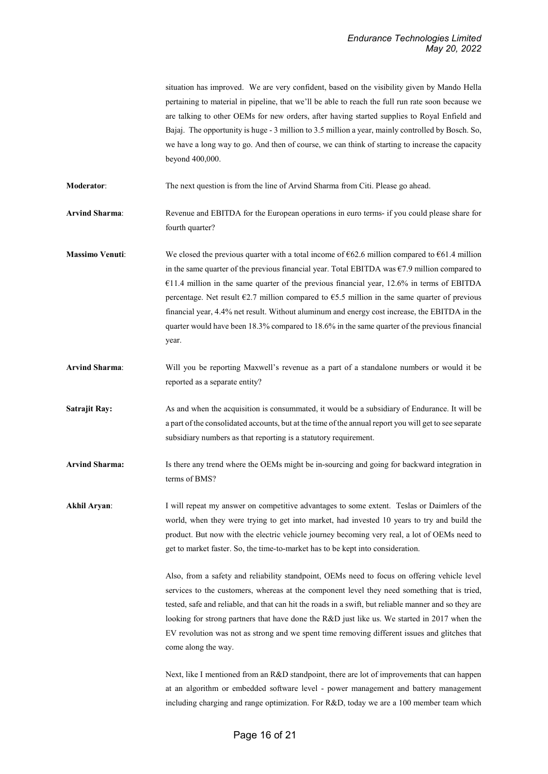situation has improved. We are very confident, based on the visibility given by Mando Hella pertaining to material in pipeline, that we'll be able to reach the full run rate soon because we are talking to other OEMs for new orders, after having started supplies to Royal Enfield and Bajaj. The opportunity is huge - 3 million to 3.5 million a year, mainly controlled by Bosch. So, we have a long way to go. And then of course, we can think of starting to increase the capacity beyond 400,000.

**Moderator**: The next question is from the line of Arvind Sharma from Citi. Please go ahead.

**Arvind Sharma**: Revenue and EBITDA for the European operations in euro terms- if you could please share for fourth quarter?

**Massimo Venuti:** We closed the previous quarter with a total income of  $\epsilon$ 62.6 million compared to  $\epsilon$ 61.4 million in the same quarter of the previous financial year. Total EBITDA was €7.9 million compared to  $€11.4$  million in the same quarter of the previous financial year, 12.6% in terms of EBITDA percentage. Net result  $\epsilon$ 2.7 million compared to  $\epsilon$ 5.5 million in the same quarter of previous financial year, 4.4% net result. Without aluminum and energy cost increase, the EBITDA in the quarter would have been 18.3% compared to 18.6% in the same quarter of the previous financial year.

**Arvind Sharma**: Will you be reporting Maxwell's revenue as a part of a standalone numbers or would it be reported as a separate entity?

**Satrajit Ray:** As and when the acquisition is consummated, it would be a subsidiary of Endurance. It will be a part of the consolidated accounts, but at the time of the annual report you will get to see separate subsidiary numbers as that reporting is a statutory requirement.

**Arvind Sharma:** Is there any trend where the OEMs might be in-sourcing and going for backward integration in terms of BMS?

**Akhil Aryan**: I will repeat my answer on competitive advantages to some extent. Teslas or Daimlers of the world, when they were trying to get into market, had invested 10 years to try and build the product. But now with the electric vehicle journey becoming very real, a lot of OEMs need to get to market faster. So, the time-to-market has to be kept into consideration.

> Also, from a safety and reliability standpoint, OEMs need to focus on offering vehicle level services to the customers, whereas at the component level they need something that is tried, tested, safe and reliable, and that can hit the roads in a swift, but reliable manner and so they are looking for strong partners that have done the R&D just like us. We started in 2017 when the EV revolution was not as strong and we spent time removing different issues and glitches that come along the way.

> Next, like I mentioned from an R&D standpoint, there are lot of improvements that can happen at an algorithm or embedded software level - power management and battery management including charging and range optimization. For R&D, today we are a 100 member team which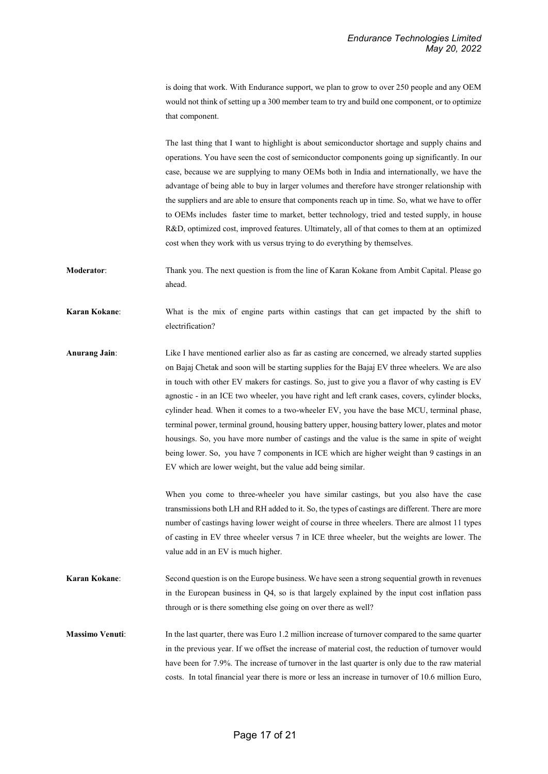is doing that work. With Endurance support, we plan to grow to over 250 people and any OEM would not think of setting up a 300 member team to try and build one component, or to optimize that component.

The last thing that I want to highlight is about semiconductor shortage and supply chains and operations. You have seen the cost of semiconductor components going up significantly. In our case, because we are supplying to many OEMs both in India and internationally, we have the advantage of being able to buy in larger volumes and therefore have stronger relationship with the suppliers and are able to ensure that components reach up in time. So, what we have to offer to OEMs includes faster time to market, better technology, tried and tested supply, in house R&D, optimized cost, improved features. Ultimately, all of that comes to them at an optimized cost when they work with us versus trying to do everything by themselves.

**Moderator:** Thank you. The next question is from the line of Karan Kokane from Ambit Capital. Please go ahead.

**Karan Kokane**: What is the mix of engine parts within castings that can get impacted by the shift to electrification?

**Anurang Jain**: Like I have mentioned earlier also as far as casting are concerned, we already started supplies on Bajaj Chetak and soon will be starting supplies for the Bajaj EV three wheelers. We are also in touch with other EV makers for castings. So, just to give you a flavor of why casting is EV agnostic - in an ICE two wheeler, you have right and left crank cases, covers, cylinder blocks, cylinder head. When it comes to a two-wheeler EV, you have the base MCU, terminal phase, terminal power, terminal ground, housing battery upper, housing battery lower, plates and motor housings. So, you have more number of castings and the value is the same in spite of weight being lower. So, you have 7 components in ICE which are higher weight than 9 castings in an EV which are lower weight, but the value add being similar.

> When you come to three-wheeler you have similar castings, but you also have the case transmissions both LH and RH added to it. So, the types of castings are different. There are more number of castings having lower weight of course in three wheelers. There are almost 11 types of casting in EV three wheeler versus 7 in ICE three wheeler, but the weights are lower. The value add in an EV is much higher.

**Karan Kokane:** Second question is on the Europe business. We have seen a strong sequential growth in revenues in the European business in Q4, so is that largely explained by the input cost inflation pass through or is there something else going on over there as well?

**Massimo Venuti**: In the last quarter, there was Euro 1.2 million increase of turnover compared to the same quarter in the previous year. If we offset the increase of material cost, the reduction of turnover would have been for 7.9%. The increase of turnover in the last quarter is only due to the raw material costs. In total financial year there is more or less an increase in turnover of 10.6 million Euro,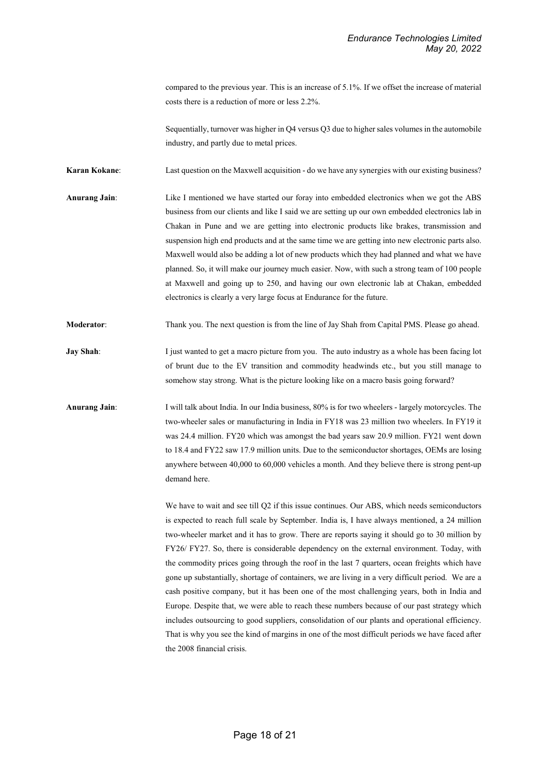compared to the previous year. This is an increase of 5.1%. If we offset the increase of material costs there is a reduction of more or less 2.2%.

Sequentially, turnover was higher in Q4 versus Q3 due to higher sales volumes in the automobile industry, and partly due to metal prices.

**Karan Kokane:** Last question on the Maxwell acquisition - do we have any synergies with our existing business?

**Anurang Jain**: Like I mentioned we have started our foray into embedded electronics when we got the ABS business from our clients and like I said we are setting up our own embedded electronics lab in Chakan in Pune and we are getting into electronic products like brakes, transmission and suspension high end products and at the same time we are getting into new electronic parts also. Maxwell would also be adding a lot of new products which they had planned and what we have planned. So, it will make our journey much easier. Now, with such a strong team of 100 people at Maxwell and going up to 250, and having our own electronic lab at Chakan, embedded electronics is clearly a very large focus at Endurance for the future.

**Moderator:** Thank you. The next question is from the line of Jay Shah from Capital PMS. Please go ahead.

**Jay Shah:** I just wanted to get a macro picture from you. The auto industry as a whole has been facing lot of brunt due to the EV transition and commodity headwinds etc., but you still manage to somehow stay strong. What is the picture looking like on a macro basis going forward?

**Anurang Jain**: I will talk about India. In our India business, 80% is for two wheelers - largely motorcycles. The two-wheeler sales or manufacturing in India in FY18 was 23 million two wheelers. In FY19 it was 24.4 million. FY20 which was amongst the bad years saw 20.9 million. FY21 went down to 18.4 and FY22 saw 17.9 million units. Due to the semiconductor shortages, OEMs are losing anywhere between 40,000 to 60,000 vehicles a month. And they believe there is strong pent-up demand here.

> We have to wait and see till Q2 if this issue continues. Our ABS, which needs semiconductors is expected to reach full scale by September. India is, I have always mentioned, a 24 million two-wheeler market and it has to grow. There are reports saying it should go to 30 million by FY26/ FY27. So, there is considerable dependency on the external environment. Today, with the commodity prices going through the roof in the last 7 quarters, ocean freights which have gone up substantially, shortage of containers, we are living in a very difficult period. We are a cash positive company, but it has been one of the most challenging years, both in India and Europe. Despite that, we were able to reach these numbers because of our past strategy which includes outsourcing to good suppliers, consolidation of our plants and operational efficiency. That is why you see the kind of margins in one of the most difficult periods we have faced after the 2008 financial crisis.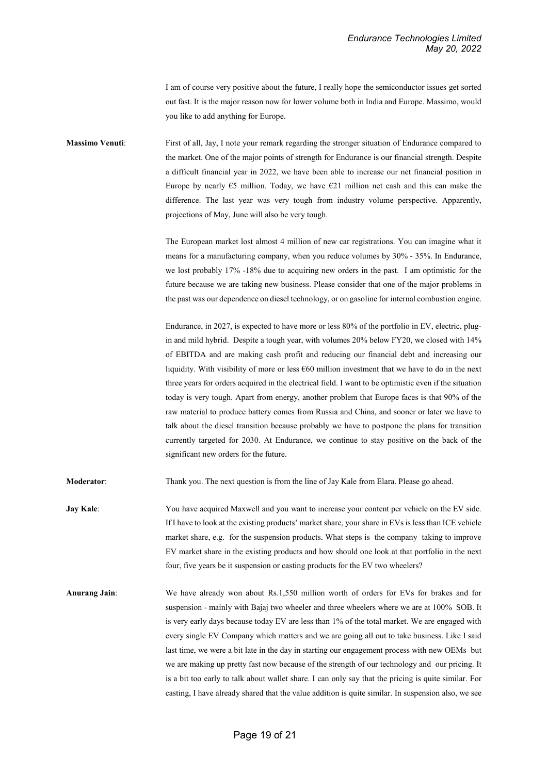I am of course very positive about the future, I really hope the semiconductor issues get sorted out fast. It is the major reason now for lower volume both in India and Europe. Massimo, would you like to add anything for Europe.

**Massimo Venuti**: First of all, Jay, I note your remark regarding the stronger situation of Endurance compared to the market. One of the major points of strength for Endurance is our financial strength. Despite a difficult financial year in 2022, we have been able to increase our net financial position in Europe by nearly  $65$  million. Today, we have  $621$  million net cash and this can make the difference. The last year was very tough from industry volume perspective. Apparently, projections of May, June will also be very tough.

> The European market lost almost 4 million of new car registrations. You can imagine what it means for a manufacturing company, when you reduce volumes by 30% - 35%. In Endurance, we lost probably 17% -18% due to acquiring new orders in the past. I am optimistic for the future because we are taking new business. Please consider that one of the major problems in the past was our dependence on diesel technology, or on gasoline for internal combustion engine.

> Endurance, in 2027, is expected to have more or less 80% of the portfolio in EV, electric, plugin and mild hybrid. Despite a tough year, with volumes 20% below FY20, we closed with 14% of EBITDA and are making cash profit and reducing our financial debt and increasing our liquidity. With visibility of more or less  $660$  million investment that we have to do in the next three years for orders acquired in the electrical field. I want to be optimistic even if the situation today is very tough. Apart from energy, another problem that Europe faces is that 90% of the raw material to produce battery comes from Russia and China, and sooner or later we have to talk about the diesel transition because probably we have to postpone the plans for transition currently targeted for 2030. At Endurance, we continue to stay positive on the back of the significant new orders for the future.

**Moderator**: Thank you. The next question is from the line of Jay Kale from Elara. Please go ahead.

**Jay Kale:** You have acquired Maxwell and you want to increase your content per vehicle on the EV side. If I have to look at the existing products' market share, your share in EVs is less than ICE vehicle market share, e.g. for the suspension products. What steps is the company taking to improve EV market share in the existing products and how should one look at that portfolio in the next four, five years be it suspension or casting products for the EV two wheelers?

**Anurang Jain**: We have already won about Rs.1,550 million worth of orders for EVs for brakes and for suspension - mainly with Bajaj two wheeler and three wheelers where we are at 100% SOB. It is very early days because today EV are less than 1% of the total market. We are engaged with every single EV Company which matters and we are going all out to take business. Like I said last time, we were a bit late in the day in starting our engagement process with new OEMs but we are making up pretty fast now because of the strength of our technology and our pricing. It is a bit too early to talk about wallet share. I can only say that the pricing is quite similar. For casting, I have already shared that the value addition is quite similar. In suspension also, we see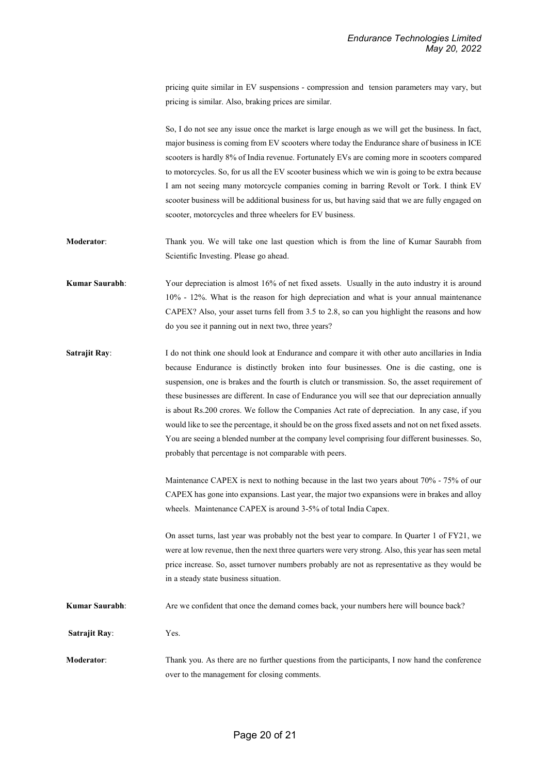pricing quite similar in EV suspensions - compression and tension parameters may vary, but pricing is similar. Also, braking prices are similar.

So, I do not see any issue once the market is large enough as we will get the business. In fact, major business is coming from EV scooters where today the Endurance share of business in ICE scooters is hardly 8% of India revenue. Fortunately EVs are coming more in scooters compared to motorcycles. So, for us all the EV scooter business which we win is going to be extra because I am not seeing many motorcycle companies coming in barring Revolt or Tork. I think EV scooter business will be additional business for us, but having said that we are fully engaged on scooter, motorcycles and three wheelers for EV business.

- **Moderator**: Thank you. We will take one last question which is from the line of Kumar Saurabh from Scientific Investing. Please go ahead.
- **Kumar Saurabh**: Your depreciation is almost 16% of net fixed assets. Usually in the auto industry it is around 10% - 12%. What is the reason for high depreciation and what is your annual maintenance CAPEX? Also, your asset turns fell from 3.5 to 2.8, so can you highlight the reasons and how do you see it panning out in next two, three years?
- **Satrajit Ray:** I do not think one should look at Endurance and compare it with other auto ancillaries in India because Endurance is distinctly broken into four businesses. One is die casting, one is suspension, one is brakes and the fourth is clutch or transmission. So, the asset requirement of these businesses are different. In case of Endurance you will see that our depreciation annually is about Rs.200 crores. We follow the Companies Act rate of depreciation. In any case, if you would like to see the percentage, it should be on the gross fixed assets and not on net fixed assets. You are seeing a blended number at the company level comprising four different businesses. So, probably that percentage is not comparable with peers.

Maintenance CAPEX is next to nothing because in the last two years about 70% - 75% of our CAPEX has gone into expansions. Last year, the major two expansions were in brakes and alloy wheels. Maintenance CAPEX is around 3-5% of total India Capex.

On asset turns, last year was probably not the best year to compare. In Quarter 1 of FY21, we were at low revenue, then the next three quarters were very strong. Also, this year has seen metal price increase. So, asset turnover numbers probably are not as representative as they would be in a steady state business situation.

- **Kumar Saurabh:** Are we confident that once the demand comes back, your numbers here will bounce back?
- **Satrajit Ray**: Yes.
- **Moderator:** Thank you. As there are no further questions from the participants, I now hand the conference over to the management for closing comments.